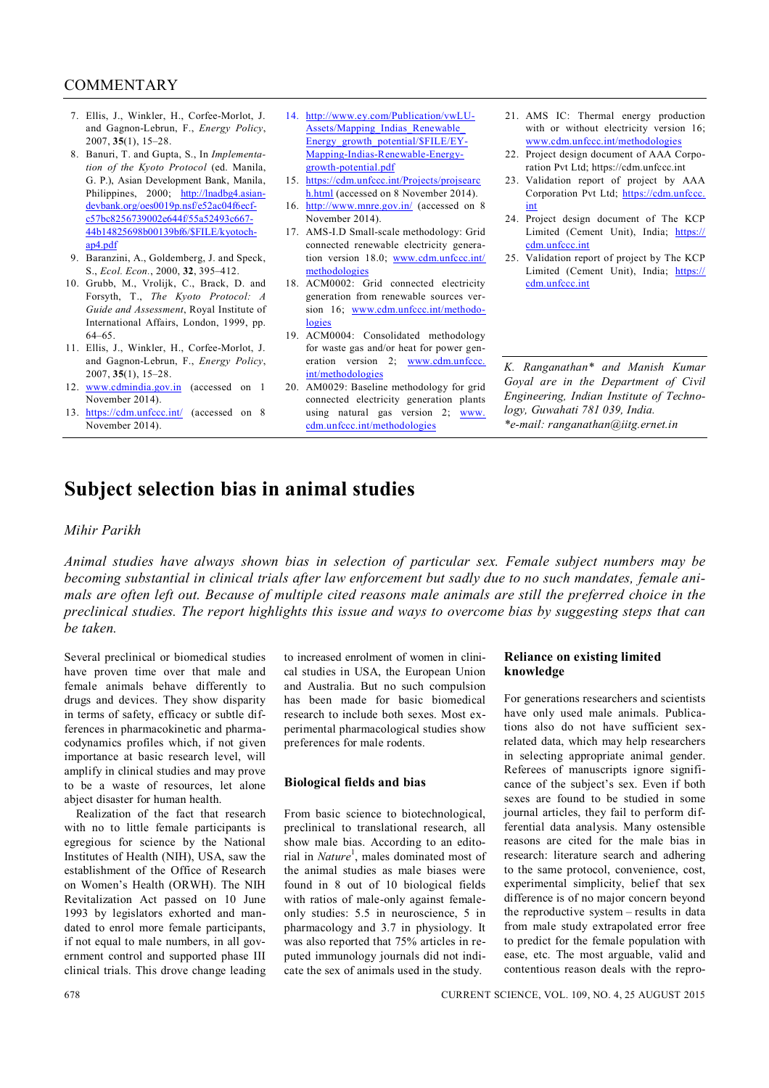## **COMMENTARY**

- 7. Ellis, J., Winkler, H., Corfee-Morlot, J. and Gagnon-Lebrun, F., *Energy Policy*, 2007, **35**(1), 15–28.
- 8. Banuri, T. and Gupta, S., In *Implementation of the Kyoto Protocol* (ed. Manila, G. P.), Asian Development Bank, Manila, Philippines, 2000; http://lnadbg4.asiandevbank.org/oes0019p.nsf/e52ac04f6ecfc57bc8256739002e644f/55a52493c667- 44b14825698b00139bf6/\$FILE/kyotochap4.pdf
- 9. Baranzini, A., Goldemberg, J. and Speck, S., *Ecol. Econ.*, 2000, **32**, 395–412.
- 10. Grubb, M., Vrolijk, C., Brack, D. and Forsyth, T., *The Kyoto Protocol: A Guide and Assessment*, Royal Institute of International Affairs, London, 1999, pp. 64–65.
- 11. Ellis, J., Winkler, H., Corfee-Morlot, J. and Gagnon-Lebrun, F., *Energy Policy*, 2007, **35**(1), 15–28.
- 12. www.cdmindia.gov.in (accessed on 1 November 2014).
- 13. https://cdm.unfccc.int/ (accessed on 8 November 2014).
- 14. http://www.ey.com/Publication/vwLU-Assets/Mapping\_Indias\_Renewable\_ Energy\_growth\_potential/\$FILE/EY-Mapping-Indias-Renewable-Energygrowth-potential.pdf
- 15. https://cdm.unfccc.int/Projects/projsearc h.html (accessed on 8 November 2014).
- 16. http://www.mnre.gov.in/ (accessed on 8 November 2014).
- 17. AMS-I.D Small-scale methodology: Grid connected renewable electricity generation version 18.0; www.cdm.unfccc.int/ methodologies
- 18. ACM0002: Grid connected electricity generation from renewable sources version 16; www.cdm.unfccc.int/methodologies
- 19. ACM0004: Consolidated methodology for waste gas and/or heat for power generation version 2; www.cdm.unfccc. int/methodologies
- 20. AM0029: Baseline methodology for grid connected electricity generation plants using natural gas version 2; www. cdm.unfccc.int/methodologies
- 21. AMS IC: Thermal energy production with or without electricity version 16; www.cdm.unfccc.int/methodologies
- 22. Project design document of AAA Corporation Pvt Ltd; https://cdm.unfccc.int
- 23. Validation report of project by AAA Corporation Pvt Ltd; https://cdm.unfccc. int
- 24. Project design document of The KCP Limited (Cement Unit), India; https:// cdm.unfccc.int
- 25. Validation report of project by The KCP Limited (Cement Unit), India; https:// cdm.unfccc.int

*K. Ranganathan\* and Manish Kumar Goyal are in the Department of Civil Engineering, Indian Institute of Technology, Guwahati 781 039, India. \*e-mail: ranganathan@iitg.ernet.in*

# **Subject selection bias in animal studies**

### *Mihir Parikh*

*Animal studies have always shown bias in selection of particular sex. Female subject numbers may be becoming substantial in clinical trials after law enforcement but sadly due to no such mandates, female animals are often left out. Because of multiple cited reasons male animals are still the preferred choice in the preclinical studies. The report highlights this issue and ways to overcome bias by suggesting steps that can be taken.*

Several preclinical or biomedical studies have proven time over that male and female animals behave differently to drugs and devices. They show disparity in terms of safety, efficacy or subtle differences in pharmacokinetic and pharmacodynamics profiles which, if not given importance at basic research level, will amplify in clinical studies and may prove to be a waste of resources, let alone abject disaster for human health.

Realization of the fact that research with no to little female participants is egregious for science by the National Institutes of Health (NIH), USA, saw the establishment of the Office of Research on Women's Health (ORWH). The NIH Revitalization Act passed on 10 June 1993 by legislators exhorted and mandated to enrol more female participants, if not equal to male numbers, in all government control and supported phase III clinical trials. This drove change leading to increased enrolment of women in clinical studies in USA, the European Union and Australia. But no such compulsion has been made for basic biomedical research to include both sexes. Most experimental pharmacological studies show preferences for male rodents.

#### **Biological fields and bias**

From basic science to biotechnological, preclinical to translational research, all show male bias. According to an editorial in *Nature*<sup>1</sup>, males dominated most of the animal studies as male biases were found in 8 out of 10 biological fields with ratios of male-only against femaleonly studies: 5.5 in neuroscience, 5 in pharmacology and 3.7 in physiology. It was also reported that 75% articles in reputed immunology journals did not indicate the sex of animals used in the study.

#### **Reliance on existing limited knowledge**

For generations researchers and scientists have only used male animals. Publications also do not have sufficient sexrelated data, which may help researchers in selecting appropriate animal gender. Referees of manuscripts ignore significance of the subject's sex. Even if both sexes are found to be studied in some journal articles, they fail to perform differential data analysis. Many ostensible reasons are cited for the male bias in research: literature search and adhering to the same protocol, convenience, cost, experimental simplicity, belief that sex difference is of no major concern beyond the reproductive system – results in data from male study extrapolated error free to predict for the female population with ease, etc. The most arguable, valid and contentious reason deals with the repro-